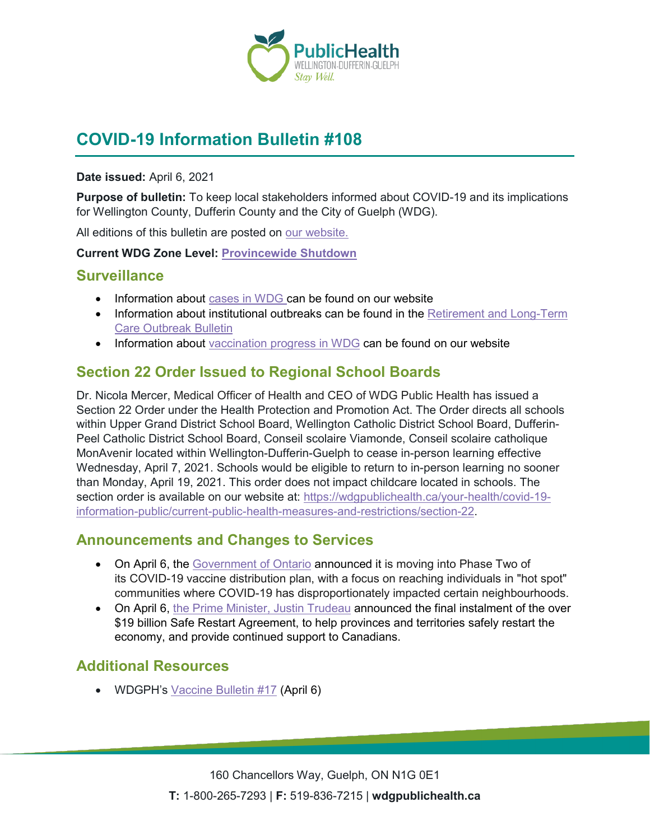

# **COVID-19 Information Bulletin #108**

#### **Date issued:** April 6, 2021

**Purpose of bulletin:** To keep local stakeholders informed about COVID-19 and its implications for Wellington County, Dufferin County and the City of Guelph (WDG).

All editions of this bulletin are posted on [our website.](https://www.wdgpublichealth.ca/your-health/covid-19-information-workplaces-and-living-spaces/community-stakeholder-bulletins)

#### **Current WDG Zone Level: [Provincewide Shutdown](https://www.ontario.ca/page/covid-19-provincewide-shutdown)**

### **Surveillance**

- Information about [cases in WDG](https://wdgpublichealth.ca/your-health/covid-19-information-public/status-cases-wdg) can be found on our website
- Information about institutional outbreaks can be found in the Retirement and Long-Term [Care Outbreak Bulletin](https://wdgpublichealth.ca/node/1542)
- Information about [vaccination progress](https://www.wdgpublichealth.ca/your-health/covid-19-information-public/covid-19-vaccine-information-public) in WDG can be found on our website

# **Section 22 Order Issued to Regional School Boards**

Dr. Nicola Mercer, Medical Officer of Health and CEO of WDG Public Health has issued a Section 22 Order under the Health Protection and Promotion Act. The Order directs all schools within Upper Grand District School Board, Wellington Catholic District School Board, Dufferin-Peel Catholic District School Board, Conseil scolaire Viamonde, Conseil scolaire catholique MonAvenir located within Wellington-Dufferin-Guelph to cease in-person learning effective Wednesday, April 7, 2021. Schools would be eligible to return to in-person learning no sooner than Monday, April 19, 2021. This order does not impact childcare located in schools. The section order is available on our website at: [https://wdgpublichealth.ca/your-health/covid-19](https://wdgpublichealth.ca/your-health/covid-19-information-public/current-public-health-measures-and-restrictions/section-22) [information-public/current-public-health-measures-and-restrictions/section-22.](https://wdgpublichealth.ca/your-health/covid-19-information-public/current-public-health-measures-and-restrictions/section-22)

### **Announcements and Changes to Services**

- On April 6, the [Government of Ontario](https://news.ontario.ca/en/release/61009/ontario-moving-to-phase-two-of-covid-19-vaccine-distribution-plan) announced it is moving into Phase Two of its COVID-19 vaccine distribution plan, with a focus on reaching individuals in "hot spot" communities where COVID-19 has disproportionately impacted certain neighbourhoods.
- On April 6, [the Prime Minister, Justin Trudeau](https://pm.gc.ca/en/news/news-releases/2021/04/06/support-testing-and-contact-tracing-through-safe-restart-agreement) announced the final instalment of the over \$19 billion Safe Restart Agreement, to help provinces and territories safely restart the economy, and provide continued support to Canadians.

# **Additional Resources**

• WDGPH's [Vaccine Bulletin #17](https://www.wdgpublichealth.ca/sites/default/files/wdgph_covid-19_vaccine_bulletin_17_apr_6_2021.pdf) (April 6)